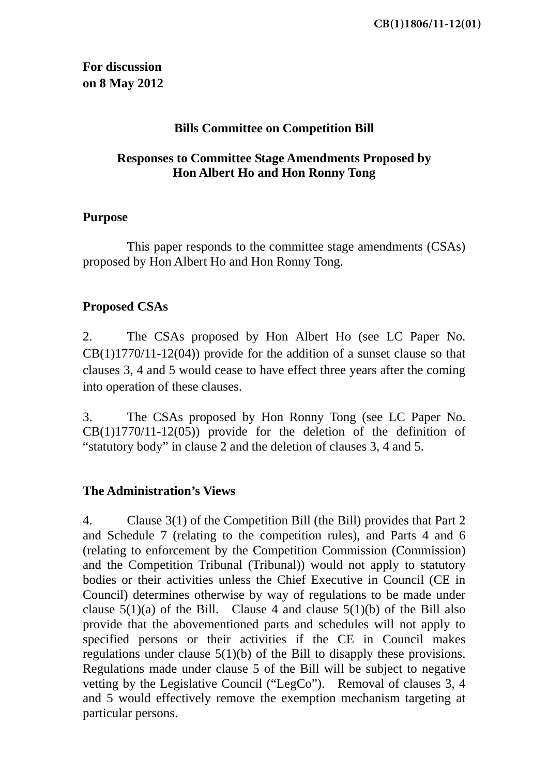**For discussion on 8 May 2012** 

### **Bills Committee on Competition Bill**

## **Responses to Committee Stage Amendments Proposed by Hon Albert Ho and Hon Ronny Tong**

#### **Purpose**

 This paper responds to the committee stage amendments (CSAs) proposed by Hon Albert Ho and Hon Ronny Tong.

### **Proposed CSAs**

2. The CSAs proposed by Hon Albert Ho (see LC Paper No.  $CB(1)1770/11-12(04)$  provide for the addition of a sunset clause so that clauses 3, 4 and 5 would cease to have effect three years after the coming into operation of these clauses.

3. The CSAs proposed by Hon Ronny Tong (see LC Paper No.  $CB(1)1770/11-12(05)$  provide for the deletion of the definition of "statutory body" in clause 2 and the deletion of clauses 3, 4 and 5.

### **The Administration's Views**

4. Clause 3(1) of the Competition Bill (the Bill) provides that Part 2 and Schedule 7 (relating to the competition rules), and Parts 4 and 6 (relating to enforcement by the Competition Commission (Commission) and the Competition Tribunal (Tribunal)) would not apply to statutory bodies or their activities unless the Chief Executive in Council (CE in Council) determines otherwise by way of regulations to be made under clause  $5(1)(a)$  of the Bill. Clause 4 and clause  $5(1)(b)$  of the Bill also provide that the abovementioned parts and schedules will not apply to specified persons or their activities if the CE in Council makes regulations under clause 5(1)(b) of the Bill to disapply these provisions. Regulations made under clause 5 of the Bill will be subject to negative vetting by the Legislative Council ("LegCo"). Removal of clauses 3, 4 and 5 would effectively remove the exemption mechanism targeting at particular persons.